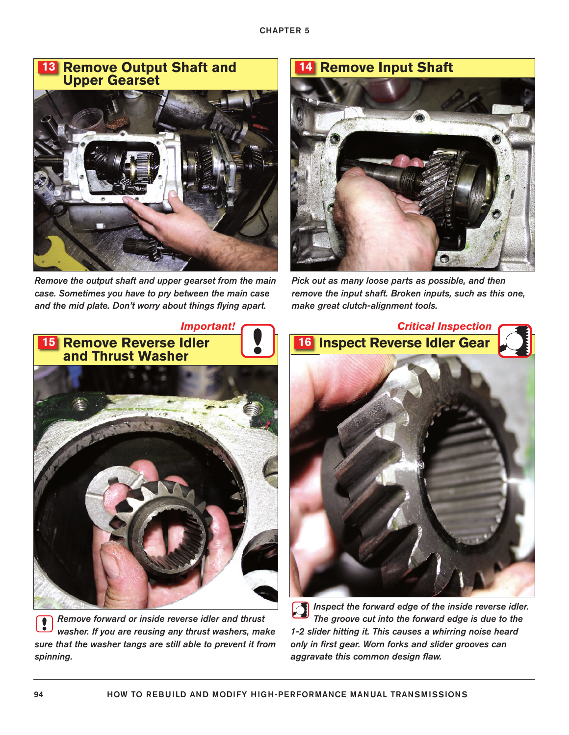#### **Remove Output Shaft and Upper Gearset 13**



*Remove the output shaft and upper gearset from the main case. Sometimes you have to pry between the main case and the mid plate. Don't worry about things flying apart.*



*Pick out as many loose parts as possible, and then remove the input shaft. Broken inputs, such as this one, make great clutch-alignment tools.*



*Remove forward or inside reverse idler and thrust* Į *washer. If you are reusing any thrust washers, make sure that the washer tangs are still able to prevent it from spinning.*



*Inspect the forward edge of the inside reverse idler. The groove cut into the forward edge is due to the 1-2 slider hitting it. This causes a whirring noise heard only in first gear. Worn forks and slider grooves can aggravate this common design flaw.*